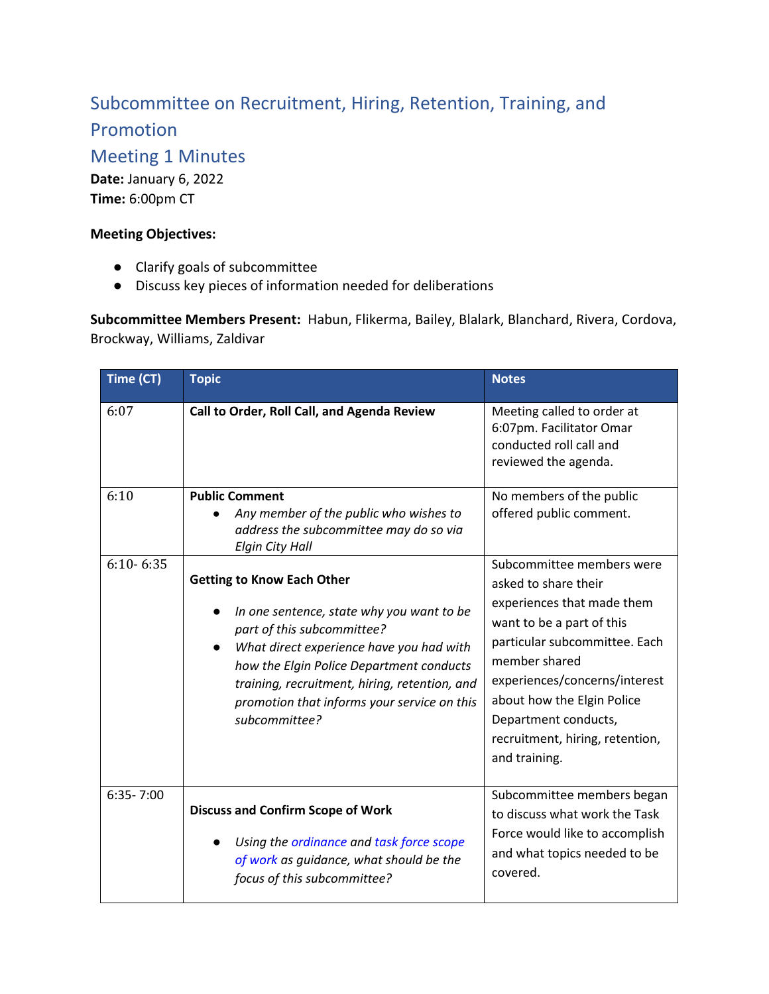## Subcommittee on Recruitment, Hiring, Retention, Training, and

Promotion

Meeting 1 Minutes

**Date:** January 6, 2022 **Time:** 6:00pm CT

## **Meeting Objectives:**

- Clarify goals of subcommittee
- Discuss key pieces of information needed for deliberations

**Subcommittee Members Present:** Habun, Flikerma, Bailey, Blalark, Blanchard, Rivera, Cordova, Brockway, Williams, Zaldivar

| Time (CT)     | <b>Topic</b>                                                                                                                                                                                                                                                                                                          | <b>Notes</b>                                                                                                                                                                                                                                                                                              |
|---------------|-----------------------------------------------------------------------------------------------------------------------------------------------------------------------------------------------------------------------------------------------------------------------------------------------------------------------|-----------------------------------------------------------------------------------------------------------------------------------------------------------------------------------------------------------------------------------------------------------------------------------------------------------|
| 6:07          | Call to Order, Roll Call, and Agenda Review                                                                                                                                                                                                                                                                           | Meeting called to order at<br>6:07pm. Facilitator Omar<br>conducted roll call and<br>reviewed the agenda.                                                                                                                                                                                                 |
| 6:10          | <b>Public Comment</b><br>Any member of the public who wishes to<br>address the subcommittee may do so via<br><b>Elgin City Hall</b>                                                                                                                                                                                   | No members of the public<br>offered public comment.                                                                                                                                                                                                                                                       |
| $6:10 - 6:35$ | <b>Getting to Know Each Other</b><br>In one sentence, state why you want to be<br>part of this subcommittee?<br>What direct experience have you had with<br>how the Elgin Police Department conducts<br>training, recruitment, hiring, retention, and<br>promotion that informs your service on this<br>subcommittee? | Subcommittee members were<br>asked to share their<br>experiences that made them<br>want to be a part of this<br>particular subcommittee. Each<br>member shared<br>experiences/concerns/interest<br>about how the Elgin Police<br>Department conducts,<br>recruitment, hiring, retention,<br>and training. |
| $6:35 - 7:00$ | <b>Discuss and Confirm Scope of Work</b><br>Using the ordinance and task force scope<br>of work as guidance, what should be the<br>focus of this subcommittee?                                                                                                                                                        | Subcommittee members began<br>to discuss what work the Task<br>Force would like to accomplish<br>and what topics needed to be<br>covered.                                                                                                                                                                 |